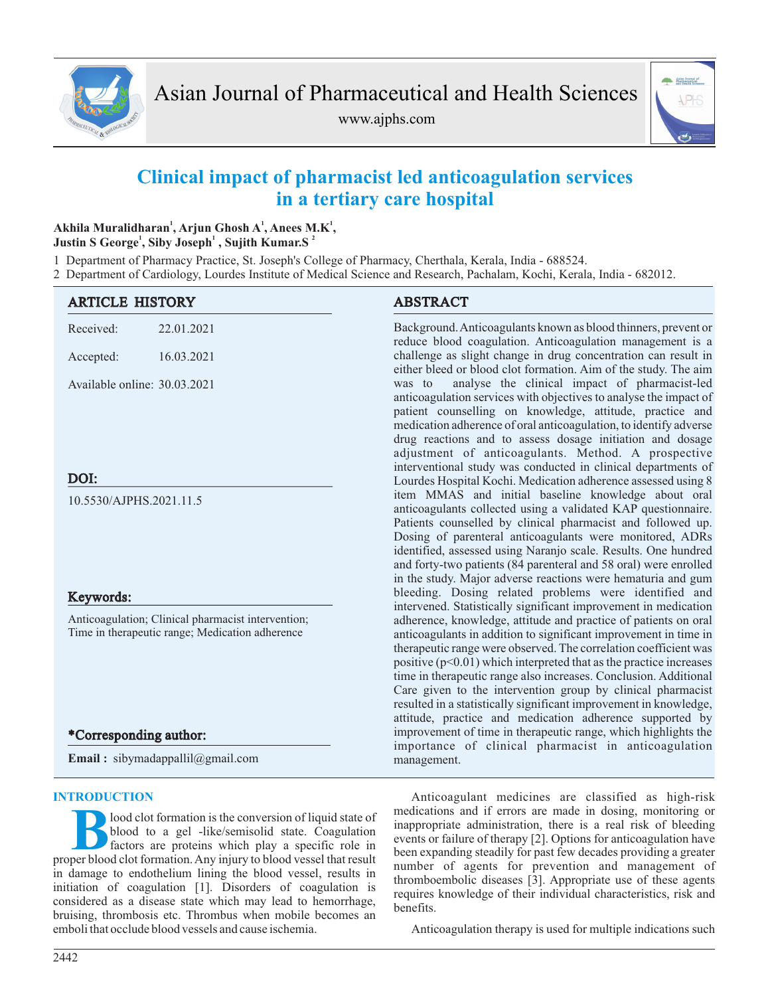

www.ajphs.com



# **Clinical impact of pharmacist led anticoagulation services in a tertiary care hospital**

# **<sup>1</sup> <sup>1</sup> <sup>1</sup> Akhila Muralidharan , Arjun Ghosh A , Anees M.K , 1 1 2 Justin S George , Siby Joseph , Sujith Kumar.S**

1 Department of Pharmacy Practice, St. Joseph's College of Pharmacy, Cherthala, Kerala, India - 688524.

2 Department of Cardiology, Lourdes Institute of Medical Science and Research, Pachalam, Kochi, Kerala, India - 682012.

| <b>ARTICLE HISTORY</b>                                                                                | <b>ABSTRACT</b>                                                                                                                                                                                                                                                                                                                                                                                                                                                                                                                                     |
|-------------------------------------------------------------------------------------------------------|-----------------------------------------------------------------------------------------------------------------------------------------------------------------------------------------------------------------------------------------------------------------------------------------------------------------------------------------------------------------------------------------------------------------------------------------------------------------------------------------------------------------------------------------------------|
| Received:<br>22.01.2021                                                                               | Background. Anticoagulants known as blood thinners, prevent or<br>reduce blood coagulation. Anticoagulation management is a                                                                                                                                                                                                                                                                                                                                                                                                                         |
| 16.03.2021<br>Accepted:                                                                               | challenge as slight change in drug concentration can result in<br>either bleed or blood clot formation. Aim of the study. The aim                                                                                                                                                                                                                                                                                                                                                                                                                   |
| Available online: 30.03.2021                                                                          | analyse the clinical impact of pharmacist-led<br>was to<br>anticoagulation services with objectives to analyse the impact of<br>patient counselling on knowledge, attitude, practice and<br>medication adherence of oral anticoagulation, to identify adverse<br>drug reactions and to assess dosage initiation and dosage<br>adjustment of anticoagulants. Method. A prospective<br>interventional study was conducted in clinical departments of                                                                                                  |
| DOI:                                                                                                  | Lourdes Hospital Kochi. Medication adherence assessed using 8                                                                                                                                                                                                                                                                                                                                                                                                                                                                                       |
| 10.5530/AJPHS.2021.11.5                                                                               | item MMAS and initial baseline knowledge about oral<br>anticoagulants collected using a validated KAP questionnaire.<br>Patients counselled by clinical pharmacist and followed up.<br>Dosing of parenteral anticoagulants were monitored, ADRs<br>identified, assessed using Naranjo scale. Results. One hundred<br>and forty-two patients (84 parenteral and 58 oral) were enrolled<br>in the study. Major adverse reactions were hematuria and gum                                                                                               |
| Keywords:                                                                                             | bleeding. Dosing related problems were identified and<br>intervened. Statistically significant improvement in medication                                                                                                                                                                                                                                                                                                                                                                                                                            |
| Anticoagulation; Clinical pharmacist intervention;<br>Time in therapeutic range; Medication adherence | adherence, knowledge, attitude and practice of patients on oral<br>anticoagulants in addition to significant improvement in time in<br>therapeutic range were observed. The correlation coefficient was<br>positive $(p<0.01)$ which interpreted that as the practice increases<br>time in therapeutic range also increases. Conclusion. Additional<br>Care given to the intervention group by clinical pharmacist<br>resulted in a statistically significant improvement in knowledge,<br>attitude, practice and medication adherence supported by |
| *Corresponding author:                                                                                | improvement of time in therapeutic range, which highlights the                                                                                                                                                                                                                                                                                                                                                                                                                                                                                      |
| <b>Email:</b> sibymadappallil@gmail.com                                                               | importance of clinical pharmacist in anticoagulation<br>management.                                                                                                                                                                                                                                                                                                                                                                                                                                                                                 |

# **INTRODUCTION**

**B**proper blood clot formation is the conversion of liquid state of blood to a gel -like/semisolid state. Coagulation factors are proteins which play a specific role in proper blood clot formation. Any injury to blood ves lood clot formation is the conversion of liquid state of blood to a gel -like/semisolid state. Coagulation factors are proteins which play a specific role in in damage to endothelium lining the blood vessel, results in initiation of coagulation [1]. Disorders of coagulation is considered as a disease state which may lead to hemorrhage, bruising, thrombosis etc. Thrombus when mobile becomes an emboli that occlude blood vessels and cause ischemia.

Anticoagulant medicines are classified as high-risk medications and if errors are made in dosing, monitoring or inappropriate administration, there is a real risk of bleeding events or failure of therapy [2]. Options for anticoagulation have been expanding steadily for past few decades providing a greater number of agents for prevention and management of thromboembolic diseases [3]. Appropriate use of these agents requires knowledge of their individual characteristics, risk and benefits.

Anticoagulation therapy is used for multiple indications such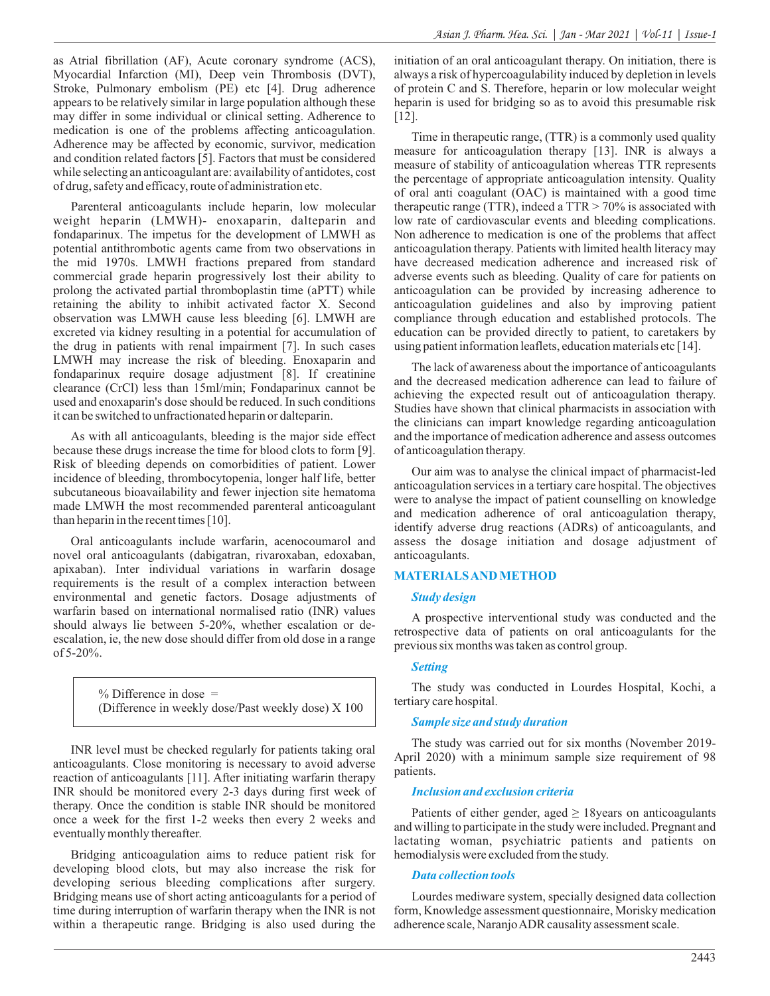as Atrial fibrillation (AF), Acute coronary syndrome (ACS), Myocardial Infarction (MI), Deep vein Thrombosis (DVT), Stroke, Pulmonary embolism (PE) etc [4]. Drug adherence appears to be relatively similar in large population although these may differ in some individual or clinical setting. Adherence to medication is one of the problems affecting anticoagulation. Adherence may be affected by economic, survivor, medication and condition related factors [5]. Factors that must be considered while selecting an anticoagulant are: availability of antidotes, cost of drug, safety and efficacy, route of administration etc.

Parenteral anticoagulants include heparin, low molecular weight heparin (LMWH)- enoxaparin, dalteparin and fondaparinux. The impetus for the development of LMWH as potential antithrombotic agents came from two observations in the mid 1970s. LMWH fractions prepared from standard commercial grade heparin progressively lost their ability to prolong the activated partial thromboplastin time (aPTT) while retaining the ability to inhibit activated factor X. Second observation was LMWH cause less bleeding [6]. LMWH are excreted via kidney resulting in a potential for accumulation of the drug in patients with renal impairment [7]. In such cases LMWH may increase the risk of bleeding. Enoxaparin and fondaparinux require dosage adjustment [8]. If creatinine clearance (CrCl) less than 15ml/min; Fondaparinux cannot be used and enoxaparin's dose should be reduced. In such conditions it can be switched to unfractionated heparin or dalteparin.

As with all anticoagulants, bleeding is the major side effect because these drugs increase the time for blood clots to form [9]. Risk of bleeding depends on comorbidities of patient. Lower incidence of bleeding, thrombocytopenia, longer half life, better subcutaneous bioavailability and fewer injection site hematoma made LMWH the most recommended parenteral anticoagulant than heparin in the recent times [10].

Oral anticoagulants include warfarin, acenocoumarol and novel oral anticoagulants (dabigatran, rivaroxaban, edoxaban, apixaban). Inter individual variations in warfarin dosage requirements is the result of a complex interaction between environmental and genetic factors. Dosage adjustments of warfarin based on international normalised ratio (INR) values should always lie between 5-20%, whether escalation or deescalation, ie, the new dose should differ from old dose in a range  $of 5-20\%$ .

> $%$  Difference in dose  $=$ (Difference in weekly dose/Past weekly dose) X 100

INR level must be checked regularly for patients taking oral anticoagulants. Close monitoring is necessary to avoid adverse reaction of anticoagulants [11]. After initiating warfarin therapy INR should be monitored every 2-3 days during first week of therapy. Once the condition is stable INR should be monitored once a week for the first 1-2 weeks then every 2 weeks and eventually monthly thereafter.

Bridging anticoagulation aims to reduce patient risk for developing blood clots, but may also increase the risk for developing serious bleeding complications after surgery. Bridging means use of short acting anticoagulants for a period of time during interruption of warfarin therapy when the INR is not within a therapeutic range. Bridging is also used during the

initiation of an oral anticoagulant therapy. On initiation, there is always a risk of hypercoagulability induced by depletion in levels of protein C and S. Therefore, heparin or low molecular weight heparin is used for bridging so as to avoid this presumable risk [12].

Time in therapeutic range, (TTR) is a commonly used quality measure for anticoagulation therapy [13]. INR is always a measure of stability of anticoagulation whereas TTR represents the percentage of appropriate anticoagulation intensity. Quality of oral anti coagulant (OAC) is maintained with a good time therapeutic range (TTR), indeed a TTR > 70% is associated with low rate of cardiovascular events and bleeding complications. Non adherence to medication is one of the problems that affect anticoagulation therapy. Patients with limited health literacy may have decreased medication adherence and increased risk of adverse events such as bleeding. Quality of care for patients on anticoagulation can be provided by increasing adherence to anticoagulation guidelines and also by improving patient compliance through education and established protocols. The education can be provided directly to patient, to caretakers by using patient information leaflets, education materials etc [14].

The lack of awareness about the importance of anticoagulants and the decreased medication adherence can lead to failure of achieving the expected result out of anticoagulation therapy. Studies have shown that clinical pharmacists in association with the clinicians can impart knowledge regarding anticoagulation and the importance of medication adherence and assess outcomes of anticoagulation therapy.

Our aim was to analyse the clinical impact of pharmacist-led anticoagulation services in a tertiary care hospital. The objectives were to analyse the impact of patient counselling on knowledge and medication adherence of oral anticoagulation therapy, identify adverse drug reactions (ADRs) of anticoagulants, and assess the dosage initiation and dosage adjustment of anticoagulants.

### **MATERIALS AND METHOD**

#### *Study design*

A prospective interventional study was conducted and the retrospective data of patients on oral anticoagulants for the previous six months was taken as control group.

#### *Setting*

The study was conducted in Lourdes Hospital, Kochi, a tertiary care hospital.

#### *Sample size and study duration*

The study was carried out for six months (November 2019- April 2020) with a minimum sample size requirement of 98 patients.

#### *Inclusion and exclusion criteria*

Patients of either gender, aged  $\geq 18$ years on anticoagulants and willing to participate in the study were included. Pregnant and lactating woman, psychiatric patients and patients on hemodialysis were excluded from the study.

#### *Data collection tools*

Lourdes mediware system, specially designed data collection form, Knowledge assessment questionnaire, Morisky medication adherence scale, Naranjo ADR causality assessment scale.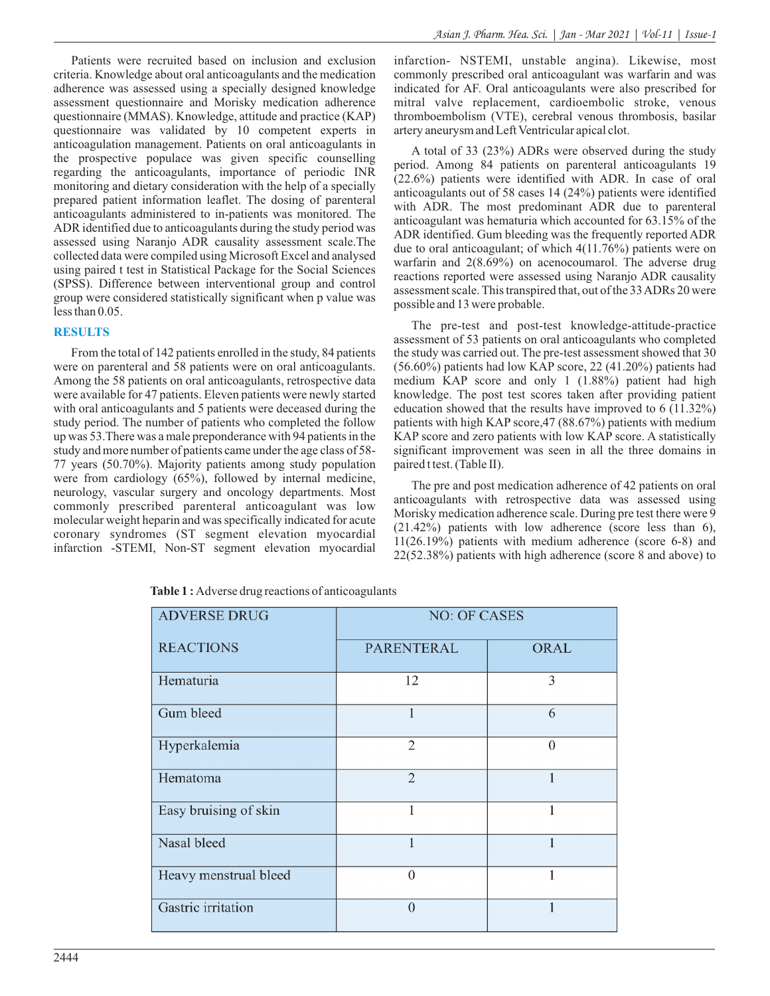Patients were recruited based on inclusion and exclusion criteria. Knowledge about oral anticoagulants and the medication adherence was assessed using a specially designed knowledge assessment questionnaire and Morisky medication adherence questionnaire (MMAS). Knowledge, attitude and practice (KAP) questionnaire was validated by 10 competent experts in anticoagulation management. Patients on oral anticoagulants in the prospective populace was given specific counselling regarding the anticoagulants, importance of periodic INR monitoring and dietary consideration with the help of a specially prepared patient information leaflet. The dosing of parenteral anticoagulants administered to in-patients was monitored. The ADR identified due to anticoagulants during the study period was assessed using Naranjo ADR causality assessment scale.The collected data were compiled using Microsoft Excel and analysed using paired t test in Statistical Package for the Social Sciences (SPSS). Difference between interventional group and control group were considered statistically significant when p value was less than 0.05.

# **RESULTS**

From the total of 142 patients enrolled in the study, 84 patients were on parenteral and 58 patients were on oral anticoagulants. Among the 58 patients on oral anticoagulants, retrospective data were available for 47 patients. Eleven patients were newly started with oral anticoagulants and 5 patients were deceased during the study period. The number of patients who completed the follow up was 53.There was a male preponderance with 94 patients in the study and more number of patients came under the age class of 58- 77 years (50.70%). Majority patients among study population were from cardiology (65%), followed by internal medicine, neurology, vascular surgery and oncology departments. Most commonly prescribed parenteral anticoagulant was low molecular weight heparin and was specifically indicated for acute coronary syndromes (ST segment elevation myocardial infarction -STEMI, Non-ST segment elevation myocardial infarction- NSTEMI, unstable angina). Likewise, most commonly prescribed oral anticoagulant was warfarin and was indicated for AF. Oral anticoagulants were also prescribed for mitral valve replacement, cardioembolic stroke, venous thromboembolism (VTE), cerebral venous thrombosis, basilar artery aneurysm and Left Ventricular apical clot.

A total of 33 (23%) ADRs were observed during the study period. Among 84 patients on parenteral anticoagulants 19 (22.6%) patients were identified with ADR. In case of oral anticoagulants out of 58 cases 14 (24%) patients were identified with ADR. The most predominant ADR due to parenteral anticoagulant was hematuria which accounted for 63.15% of the ADR identified. Gum bleeding was the frequently reported ADR due to oral anticoagulant; of which 4(11.76%) patients were on warfarin and 2(8.69%) on acenocoumarol. The adverse drug reactions reported were assessed using Naranjo ADR causality assessment scale. This transpired that, out of the 33 ADRs 20 were possible and 13 were probable.

The pre-test and post-test knowledge-attitude-practice assessment of 53 patients on oral anticoagulants who completed the study was carried out. The pre-test assessment showed that 30 (56.60%) patients had low KAP score, 22 (41.20%) patients had medium KAP score and only 1 (1.88%) patient had high knowledge. The post test scores taken after providing patient education showed that the results have improved to 6 (11.32%) patients with high KAP score, 47 (88.67%) patients with medium KAP score and zero patients with low KAP score. A statistically significant improvement was seen in all the three domains in paired t test. (Table Ⅱ).

The pre and post medication adherence of 42 patients on oral anticoagulants with retrospective data was assessed using Morisky medication adherence scale. During pre test there were 9 (21.42%) patients with low adherence (score less than 6), 11(26.19%) patients with medium adherence (score 6-8) and 22(52.38%) patients with high adherence (score 8 and above) to

| <b>ADVERSE DRUG</b>   | <b>NO: OF CASES</b> |              |  |  |  |
|-----------------------|---------------------|--------------|--|--|--|
| <b>REACTIONS</b>      | PARENTERAL          | <b>ORAL</b>  |  |  |  |
| Hematuria             | 12                  | 3            |  |  |  |
| Gum bleed             |                     | 6            |  |  |  |
| Hyperkalemia          | $\overline{2}$      | $\mathbf{0}$ |  |  |  |
| Hematoma              | $\overline{2}$      | $\mathbf{1}$ |  |  |  |
| Easy bruising of skin | 1                   | 1            |  |  |  |
| Nasal bleed           | 1                   | 1            |  |  |  |
| Heavy menstrual bleed | $\theta$            | 1            |  |  |  |
| Gastric irritation    | $\Omega$            |              |  |  |  |

**Table 1 :** Adverse drug reactions of anticoagulants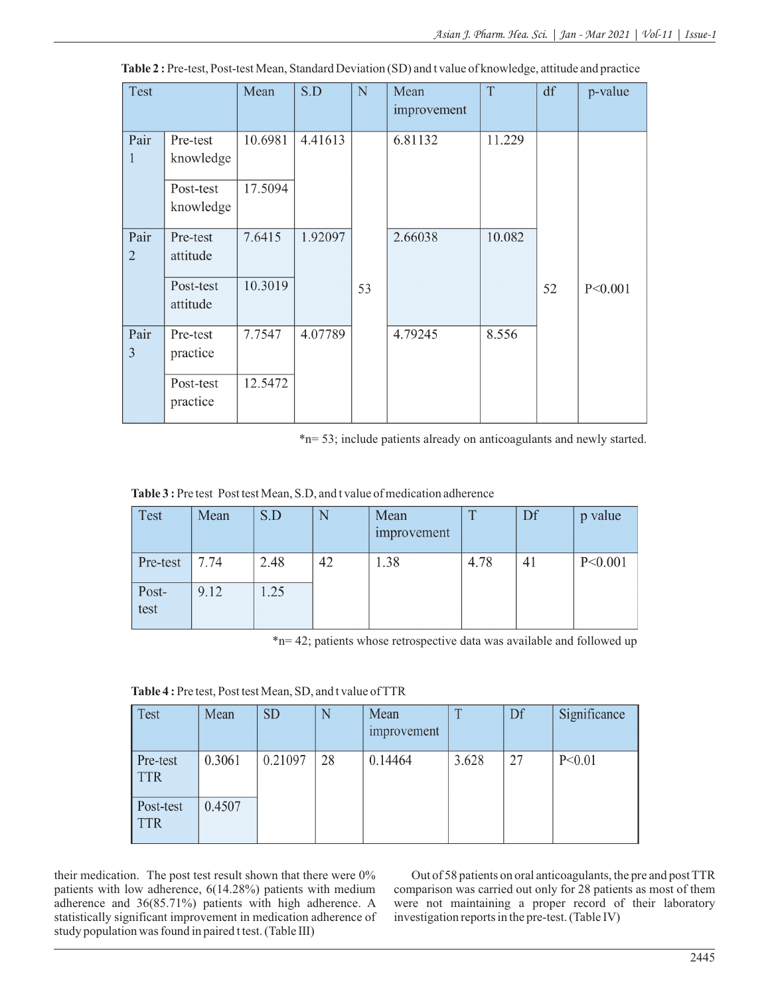| Test                   |                        | Mean    | S.D     | N  | Mean<br>improvement | T      | df | p-value   |
|------------------------|------------------------|---------|---------|----|---------------------|--------|----|-----------|
| Pair<br>1              | Pre-test<br>knowledge  | 10.6981 | 4.41613 |    | 6.81132             | 11.229 |    |           |
|                        | Post-test<br>knowledge | 17.5094 |         |    |                     |        |    |           |
| Pair<br>$\overline{2}$ | Pre-test<br>attitude   | 7.6415  | 1.92097 |    | 2.66038             | 10.082 |    |           |
|                        | Post-test<br>attitude  | 10.3019 |         | 53 |                     |        | 52 | P < 0.001 |
| Pair<br>3              | Pre-test<br>practice   | 7.7547  | 4.07789 |    | 4.79245             | 8.556  |    |           |
|                        | Post-test<br>practice  | 12.5472 |         |    |                     |        |    |           |

**Table 2 :** Pre-test, Post-test Mean, Standard Deviation (SD) and t value of knowledge, attitude and practice

\*n= 53; include patients already on anticoagulants and newly started.

Table 3 : Pre test Post test Mean, S.D, and t value of medication adherence

| <b>Test</b>   | Mean | S.D  | N  | Mean<br>improvement | $\mathbf{T}$ | Df | p value |
|---------------|------|------|----|---------------------|--------------|----|---------|
| Pre-test      | 7.74 | 2.48 | 42 | 1.38                | 4.78         | 41 | P<0.001 |
| Post-<br>test | 9.12 | 1.25 |    |                     |              |    |         |

\*n= 42; patients whose retrospective data was available and followed up

Table 4: Pre test, Post test Mean, SD, and t value of TTR

| <b>Test</b>             | Mean   | <b>SD</b> | N  | Mean<br>improvement | $\mathbf{T}$ | Df | Significance |
|-------------------------|--------|-----------|----|---------------------|--------------|----|--------------|
| Pre-test<br><b>TTR</b>  | 0.3061 | 0.21097   | 28 | 0.14464             | 3.628        | 27 | P < 0.01     |
| Post-test<br><b>TTR</b> | 0.4507 |           |    |                     |              |    |              |

their medication. The post test result shown that there were 0% patients with low adherence, 6(14.28%) patients with medium adherence and 36(85.71%) patients with high adherence. A statistically significant improvement in medication adherence of study population was found in paired t test. (Table Ⅲ)

Out of 58 patients on oral anticoagulants, the pre and post TTR comparison was carried out only for 28 patients as most of them were not maintaining a proper record of their laboratory investigation reports in the pre-test. (Table Ⅳ)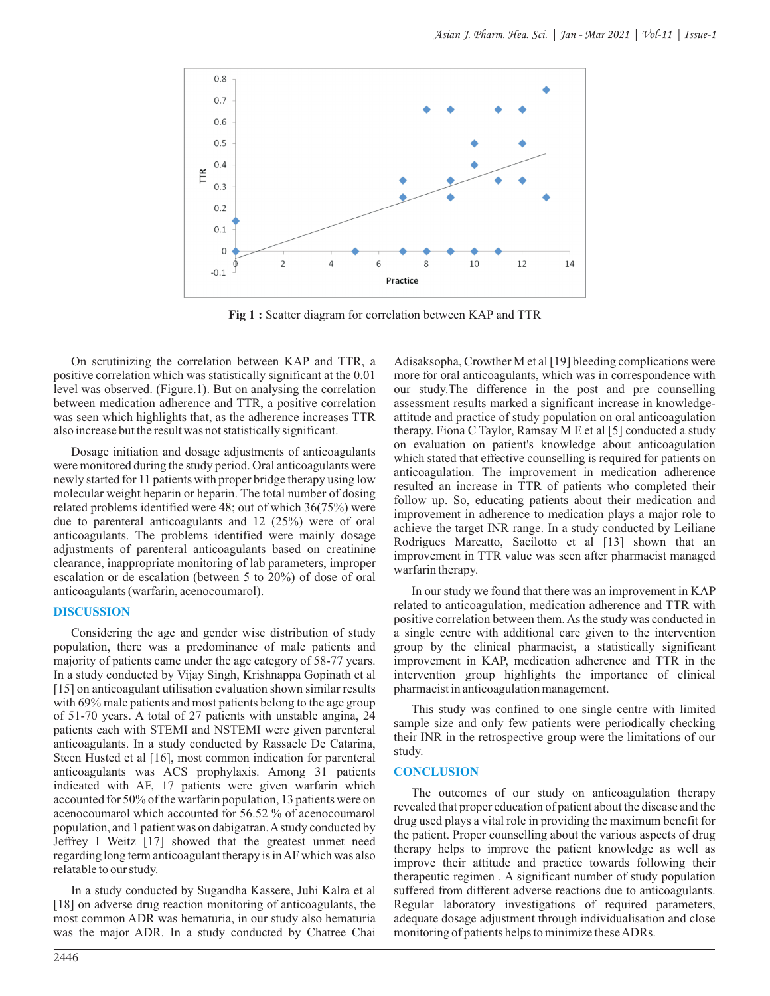

**Fig 1 :** Scatter diagram for correlation between KAP and TTR

On scrutinizing the correlation between KAP and TTR, a positive correlation which was statistically significant at the 0.01 level was observed. (Figure.1). But on analysing the correlation between medication adherence and TTR, a positive correlation was seen which highlights that, as the adherence increases TTR also increase but the result was not statistically significant.

Dosage initiation and dosage adjustments of anticoagulants were monitored during the study period. Oral anticoagulants were newly started for 11 patients with proper bridge therapy using low molecular weight heparin or heparin. The total number of dosing related problems identified were 48; out of which 36(75%) were due to parenteral anticoagulants and 12 (25%) were of oral anticoagulants. The problems identified were mainly dosage adjustments of parenteral anticoagulants based on creatinine clearance, inappropriate monitoring of lab parameters, improper escalation or de escalation (between 5 to 20%) of dose of oral anticoagulants (warfarin, acenocoumarol).

#### **DISCUSSION**

Considering the age and gender wise distribution of study population, there was a predominance of male patients and majority of patients came under the age category of 58-77 years. In a study conducted by Vijay Singh, Krishnappa Gopinath et al [15] on anticoagulant utilisation evaluation shown similar results with 69% male patients and most patients belong to the age group of 51-70 years. A total of 27 patients with unstable angina, 24 patients each with STEMI and NSTEMI were given parenteral anticoagulants. In a study conducted by Rassaele De Catarina, Steen Husted et al [16], most common indication for parenteral anticoagulants was ACS prophylaxis. Among 31 patients indicated with AF, 17 patients were given warfarin which accounted for 50% of the warfarin population, 13 patients were on acenocoumarol which accounted for 56.52 % of acenocoumarol population, and 1 patient was on dabigatran. Astudy conducted by Jeffrey I Weitz [17] showed that the greatest unmet need regarding long term anticoagulant therapy is in AF which was also relatable to our study.

In a study conducted by Sugandha Kassere, Juhi Kalra et al [18] on adverse drug reaction monitoring of anticoagulants, the most common ADR was hematuria, in our study also hematuria was the major ADR. In a study conducted by Chatree Chai

more for oral anticoagulants, which was in correspondence with our study.The difference in the post and pre counselling assessment results marked a significant increase in knowledgeattitude and practice of study population on oral anticoagulation therapy. Fiona C Taylor, Ramsay M E et al [5] conducted a study on evaluation on patient's knowledge about anticoagulation which stated that effective counselling is required for patients on anticoagulation. The improvement in medication adherence resulted an increase in TTR of patients who completed their follow up. So, educating patients about their medication and improvement in adherence to medication plays a major role to achieve the target INR range. In a study conducted by Leiliane Rodrigues Marcatto, Sacilotto et al [13] shown that an improvement in TTR value was seen after pharmacist managed warfarin therapy.

Adisaksopha, Crowther M et al [19] bleeding complications were

In our study we found that there was an improvement in KAP related to anticoagulation, medication adherence and TTR with positive correlation between them. As the study was conducted in a single centre with additional care given to the intervention group by the clinical pharmacist, a statistically significant improvement in KAP, medication adherence and TTR in the intervention group highlights the importance of clinical pharmacist in anticoagulation management.

This study was confined to one single centre with limited sample size and only few patients were periodically checking their INR in the retrospective group were the limitations of our study.

#### **CONCLUSION**

The outcomes of our study on anticoagulation therapy revealed that proper education of patient about the disease and the drug used plays a vital role in providing the maximum benefit for the patient. Proper counselling about the various aspects of drug therapy helps to improve the patient knowledge as well as improve their attitude and practice towards following their therapeutic regimen . A significant number of study population suffered from different adverse reactions due to anticoagulants. Regular laboratory investigations of required parameters, adequate dosage adjustment through individualisation and close monitoring of patients helps to minimize these ADRs.